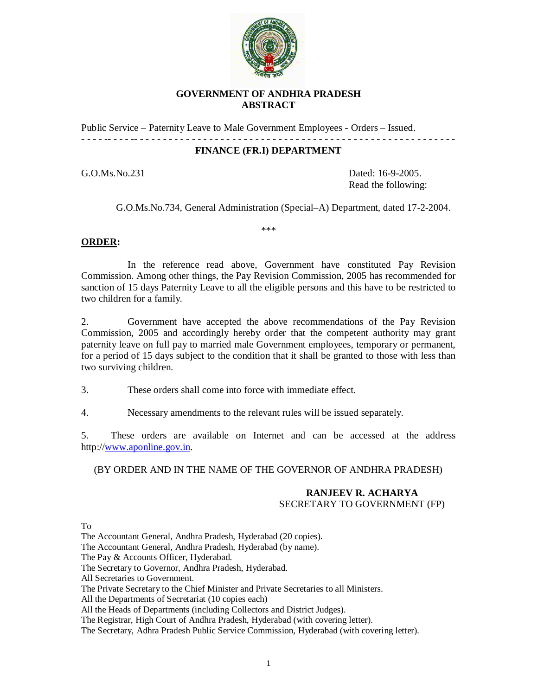

### **GOVERNMENT OF ANDHRA PRADESH ABSTRACT**

Public Service – Paternity Leave to Male Government Employees - Orders – Issued. - - - - -- - - - -- - - - - - - - - - - - - - - - - - - - - - - - - - - - - - - - - - - - - - - - - - - - - - - - - - - - - - - -

#### **FINANCE (FR.I) DEPARTMENT**

G.O.Ms.No.231 Dated: 16-9-2005. Read the following:

G.O.Ms.No.734, General Administration (Special–A) Department, dated 17-2-2004.

\*\*\*

# **ORDER:**

In the reference read above, Government have constituted Pay Revision Commission. Among other things, the Pay Revision Commission, 2005 has recommended for sanction of 15 days Paternity Leave to all the eligible persons and this have to be restricted to two children for a family.

2. Government have accepted the above recommendations of the Pay Revision Commission, 2005 and accordingly hereby order that the competent authority may grant paternity leave on full pay to married male Government employees, temporary or permanent, for a period of 15 days subject to the condition that it shall be granted to those with less than two surviving children.

3. These orders shall come into force with immediate effect.

4. Necessary amendments to the relevant rules will be issued separately.

5. These orders are available on Internet and can be accessed at the address http://www.aponline.gov.in.

(BY ORDER AND IN THE NAME OF THE GOVERNOR OF ANDHRA PRADESH)

# **RANJEEV R. ACHARYA** SECRETARY TO GOVERNMENT (FP)

#### To

The Accountant General, Andhra Pradesh, Hyderabad (20 copies).

The Accountant General, Andhra Pradesh, Hyderabad (by name).

The Pay & Accounts Officer, Hyderabad.

The Secretary to Governor, Andhra Pradesh, Hyderabad.

All Secretaries to Government.

The Private Secretary to the Chief Minister and Private Secretaries to all Ministers.

All the Departments of Secretariat (10 copies each)

All the Heads of Departments (including Collectors and District Judges).

The Registrar, High Court of Andhra Pradesh, Hyderabad (with covering letter).

The Secretary, Adhra Pradesh Public Service Commission, Hyderabad (with covering letter).